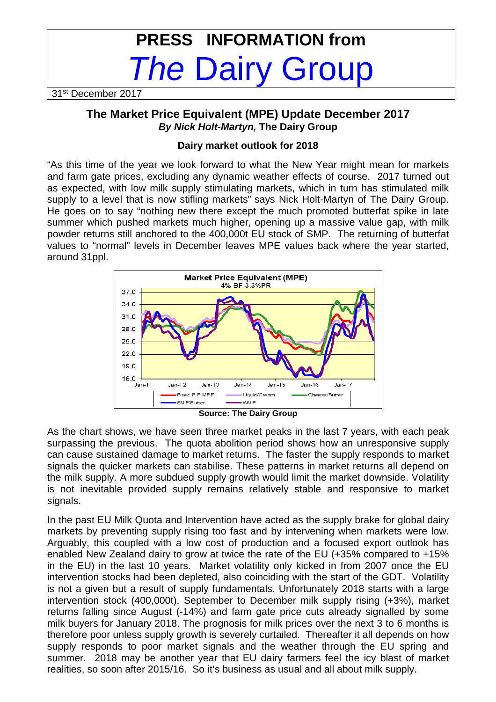# **PRESS INFORMATION from The Dairy Group**

31<sup>st</sup> December 2017

## **The Market Price Equivalent (MPE) Update December 2017 By Nick Holt-Martyn, The Dairy Group**

#### **Dairy market outlook for 2018**

"As this time of the year we look forward to what the New Year might mean for markets and farm gate prices, excluding any dynamic weather effects of course. 2017 turned out as expected, with low milk supply stimulating markets, which in turn has stimulated milk supply to a level that is now stifling markets" says Nick Holt-Martyn of The Dairy Group. He goes on to say "nothing new there except the much promoted butterfat spike in late summer which pushed markets much higher, opening up a massive value gap, with milk powder returns still anchored to the 400,000t EU stock of SMP. The returning of butterfat values to "normal" levels in December leaves MPE values back where the year started, around 31ppl.



**Source: The Dairy Group** 

As the chart shows, we have seen three market peaks in the last 7 years, with each peak surpassing the previous. The quota abolition period shows how an unresponsive supply can cause sustained damage to market returns. The faster the supply responds to market signals the quicker markets can stabilise. These patterns in market returns all depend on the milk supply. A more subdued supply growth would limit the market downside. Volatility is not inevitable provided supply remains relatively stable and responsive to market signals.

In the past EU Milk Quota and Intervention have acted as the supply brake for global dairy markets by preventing supply rising too fast and by intervening when markets were low. Arguably, this coupled with a low cost of production and a focused export outlook has enabled New Zealand dairy to grow at twice the rate of the EU (+35% compared to +15% in the EU) in the last 10 years. Market volatility only kicked in from 2007 once the EU intervention stocks had been depleted, also coinciding with the start of the GDT. Volatility is not a given but a result of supply fundamentals. Unfortunately 2018 starts with a large intervention stock (400,000t), September to December milk supply rising (+3%), market returns falling since August (-14%) and farm gate price cuts already signalled by some milk buyers for January 2018. The prognosis for milk prices over the next 3 to 6 months is therefore poor unless supply growth is severely curtailed. Thereafter it all depends on how supply responds to poor market signals and the weather through the EU spring and summer. 2018 may be another year that EU dairy farmers feel the icy blast of market realities, so soon after 2015/16. So it's business as usual and all about milk supply.